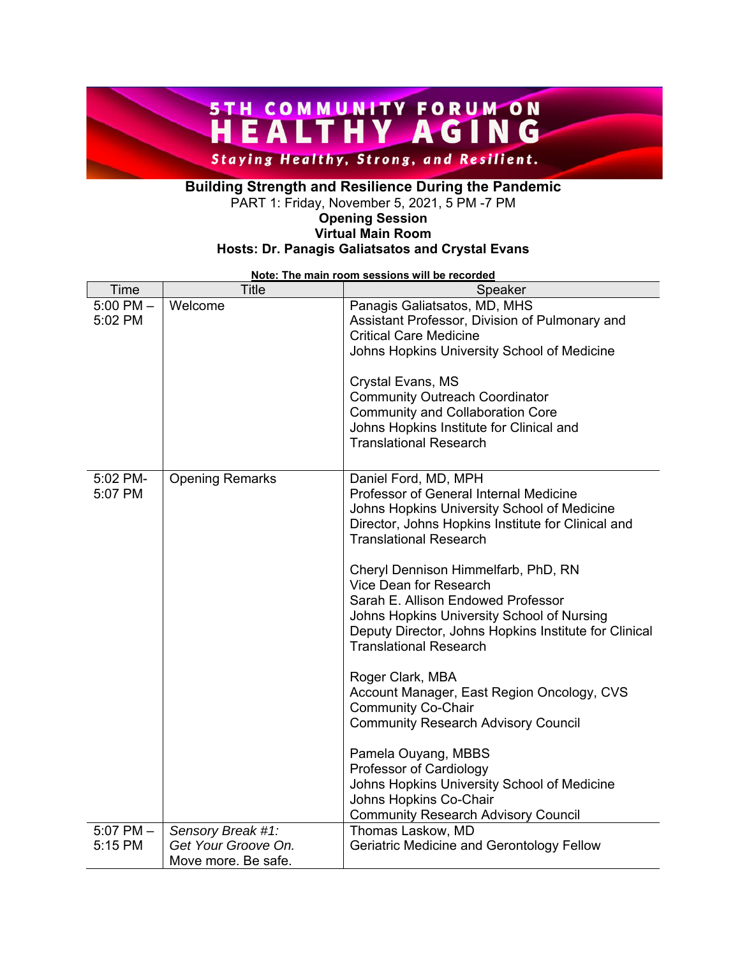### **STH COMMUNITY FORUM ON STH COMMUNITY AGING Staying Healthy, Strong, and Resilient.**

### **Building Strength and Resilience During the Pandemic**

PART 1: Friday, November 5, 2021, 5 PM -7 PM

#### **Opening Session Virtual Main Room Hosts: Dr. Panagis Galiatsatos and Crystal Evans**

| Time                     | <b>Title</b>                               | Speaker                                                                                                                                                                                                                                                                                                                                                                                                            |
|--------------------------|--------------------------------------------|--------------------------------------------------------------------------------------------------------------------------------------------------------------------------------------------------------------------------------------------------------------------------------------------------------------------------------------------------------------------------------------------------------------------|
| $5:00$ PM $-$<br>5:02 PM | Welcome                                    | Panagis Galiatsatos, MD, MHS<br>Assistant Professor, Division of Pulmonary and<br><b>Critical Care Medicine</b><br>Johns Hopkins University School of Medicine<br>Crystal Evans, MS<br><b>Community Outreach Coordinator</b><br><b>Community and Collaboration Core</b><br>Johns Hopkins Institute for Clinical and                                                                                                |
|                          |                                            | <b>Translational Research</b>                                                                                                                                                                                                                                                                                                                                                                                      |
| 5:02 PM-<br>5:07 PM      | <b>Opening Remarks</b>                     | Daniel Ford, MD, MPH<br>Professor of General Internal Medicine<br>Johns Hopkins University School of Medicine<br>Director, Johns Hopkins Institute for Clinical and<br><b>Translational Research</b><br>Cheryl Dennison Himmelfarb, PhD, RN<br>Vice Dean for Research<br>Sarah E. Allison Endowed Professor<br>Johns Hopkins University School of Nursing<br>Deputy Director, Johns Hopkins Institute for Clinical |
|                          |                                            | <b>Translational Research</b><br>Roger Clark, MBA<br>Account Manager, East Region Oncology, CVS<br><b>Community Co-Chair</b>                                                                                                                                                                                                                                                                                       |
|                          |                                            | <b>Community Research Advisory Council</b>                                                                                                                                                                                                                                                                                                                                                                         |
|                          |                                            | Pamela Ouyang, MBBS<br>Professor of Cardiology                                                                                                                                                                                                                                                                                                                                                                     |
|                          |                                            | Johns Hopkins University School of Medicine<br>Johns Hopkins Co-Chair<br><b>Community Research Advisory Council</b>                                                                                                                                                                                                                                                                                                |
| $5:07$ PM $-$            | Sensory Break #1:                          | Thomas Laskow, MD                                                                                                                                                                                                                                                                                                                                                                                                  |
| 5:15 PM                  | Get Your Groove On.<br>Move more. Be safe. | Geriatric Medicine and Gerontology Fellow                                                                                                                                                                                                                                                                                                                                                                          |

**Note: The main room sessions will be recorded**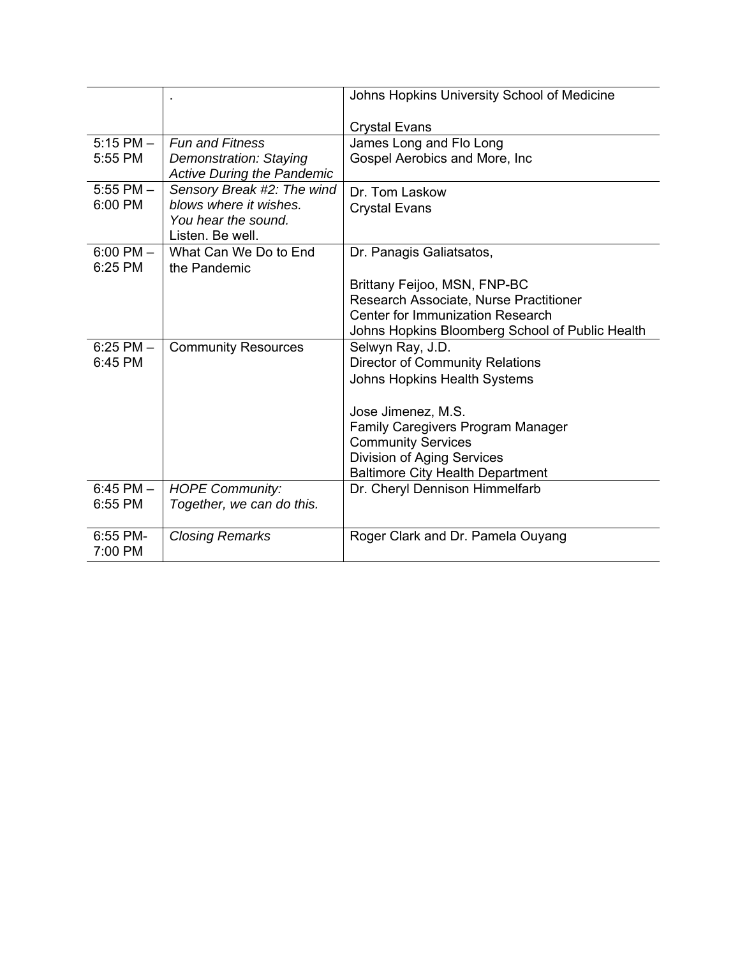|               |                                                                    | Johns Hopkins University School of Medicine     |
|---------------|--------------------------------------------------------------------|-------------------------------------------------|
|               |                                                                    | <b>Crystal Evans</b>                            |
| $5:15$ PM $-$ | <b>Fun and Fitness</b>                                             | James Long and Flo Long                         |
| 5:55 PM       | <b>Demonstration: Staying</b><br><b>Active During the Pandemic</b> | Gospel Aerobics and More, Inc.                  |
| $5:55$ PM $-$ | Sensory Break #2: The wind                                         | Dr. Tom Laskow                                  |
| 6:00 PM       | blows where it wishes.                                             | <b>Crystal Evans</b>                            |
|               | You hear the sound.                                                |                                                 |
|               | Listen. Be well.                                                   |                                                 |
| $6:00$ PM $-$ | What Can We Do to End                                              | Dr. Panagis Galiatsatos,                        |
| $6:25$ PM     | the Pandemic                                                       |                                                 |
|               |                                                                    | Brittany Feijoo, MSN, FNP-BC                    |
|               |                                                                    | Research Associate, Nurse Practitioner          |
|               |                                                                    | <b>Center for Immunization Research</b>         |
|               |                                                                    | Johns Hopkins Bloomberg School of Public Health |
| $6:25$ PM $-$ | <b>Community Resources</b>                                         | Selwyn Ray, J.D.                                |
| 6:45 PM       |                                                                    | <b>Director of Community Relations</b>          |
|               |                                                                    | <b>Johns Hopkins Health Systems</b>             |
|               |                                                                    | Jose Jimenez, M.S.                              |
|               |                                                                    | <b>Family Caregivers Program Manager</b>        |
|               |                                                                    | <b>Community Services</b>                       |
|               |                                                                    | <b>Division of Aging Services</b>               |
|               |                                                                    | <b>Baltimore City Health Department</b>         |
| $6:45$ PM $-$ | <b>HOPE Community:</b>                                             | Dr. Cheryl Dennison Himmelfarb                  |
| 6:55 PM       | Together, we can do this.                                          |                                                 |
|               |                                                                    |                                                 |
| 6:55 PM-      | <b>Closing Remarks</b>                                             | Roger Clark and Dr. Pamela Ouyang               |
| 7:00 PM       |                                                                    |                                                 |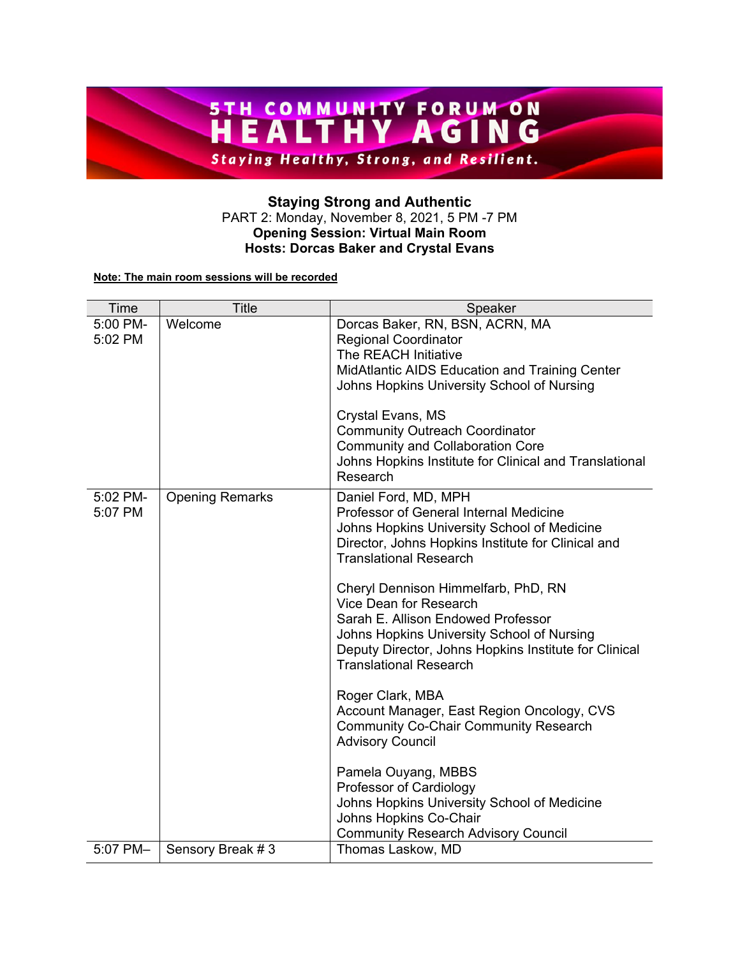

#### **Staying Strong and Authentic**  PART 2: Monday, November 8, 2021, 5 PM -7 PM **Opening Session: Virtual Main Room Hosts: Dorcas Baker and Crystal Evans**

#### **Note: The main room sessions will be recorded**

| Time                | <b>Title</b>           | Speaker                                                                                                                                                                                                                                                                                                                                                                                                                                                                                                                                                                                                                                                                                                                                                                   |
|---------------------|------------------------|---------------------------------------------------------------------------------------------------------------------------------------------------------------------------------------------------------------------------------------------------------------------------------------------------------------------------------------------------------------------------------------------------------------------------------------------------------------------------------------------------------------------------------------------------------------------------------------------------------------------------------------------------------------------------------------------------------------------------------------------------------------------------|
| 5:00 PM-<br>5:02 PM | Welcome                | Dorcas Baker, RN, BSN, ACRN, MA<br><b>Regional Coordinator</b><br>The REACH Initiative<br>MidAtlantic AIDS Education and Training Center<br>Johns Hopkins University School of Nursing<br>Crystal Evans, MS<br><b>Community Outreach Coordinator</b><br><b>Community and Collaboration Core</b><br>Johns Hopkins Institute for Clinical and Translational<br>Research                                                                                                                                                                                                                                                                                                                                                                                                     |
| 5:02 PM-<br>5:07 PM | <b>Opening Remarks</b> | Daniel Ford, MD, MPH<br>Professor of General Internal Medicine<br>Johns Hopkins University School of Medicine<br>Director, Johns Hopkins Institute for Clinical and<br><b>Translational Research</b><br>Cheryl Dennison Himmelfarb, PhD, RN<br>Vice Dean for Research<br>Sarah E. Allison Endowed Professor<br>Johns Hopkins University School of Nursing<br>Deputy Director, Johns Hopkins Institute for Clinical<br><b>Translational Research</b><br>Roger Clark, MBA<br>Account Manager, East Region Oncology, CVS<br><b>Community Co-Chair Community Research</b><br><b>Advisory Council</b><br>Pamela Ouyang, MBBS<br>Professor of Cardiology<br>Johns Hopkins University School of Medicine<br>Johns Hopkins Co-Chair<br><b>Community Research Advisory Council</b> |
| 5:07 PM-            | Sensory Break #3       | Thomas Laskow, MD                                                                                                                                                                                                                                                                                                                                                                                                                                                                                                                                                                                                                                                                                                                                                         |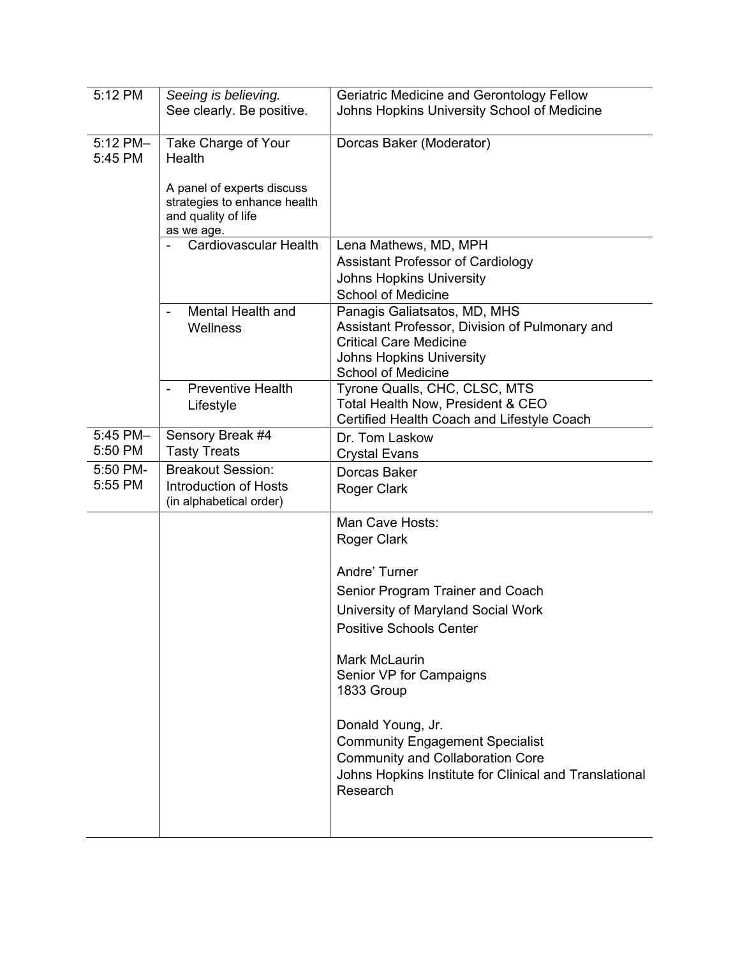| 5:12 PM             | Seeing is believing.<br>See clearly. Be positive.                                                                                | Geriatric Medicine and Gerontology Fellow<br>Johns Hopkins University School of Medicine                                                                                                                                                                                                                                                                                   |
|---------------------|----------------------------------------------------------------------------------------------------------------------------------|----------------------------------------------------------------------------------------------------------------------------------------------------------------------------------------------------------------------------------------------------------------------------------------------------------------------------------------------------------------------------|
| 5:12 PM-<br>5:45 PM | Take Charge of Your<br>Health<br>A panel of experts discuss<br>strategies to enhance health<br>and quality of life<br>as we age. | Dorcas Baker (Moderator)                                                                                                                                                                                                                                                                                                                                                   |
|                     | <b>Cardiovascular Health</b>                                                                                                     | Lena Mathews, MD, MPH<br>Assistant Professor of Cardiology<br><b>Johns Hopkins University</b><br><b>School of Medicine</b>                                                                                                                                                                                                                                                 |
|                     | Mental Health and<br>Wellness                                                                                                    | Panagis Galiatsatos, MD, MHS<br>Assistant Professor, Division of Pulmonary and<br><b>Critical Care Medicine</b><br><b>Johns Hopkins University</b><br><b>School of Medicine</b>                                                                                                                                                                                            |
|                     | <b>Preventive Health</b><br>Lifestyle                                                                                            | Tyrone Qualls, CHC, CLSC, MTS<br>Total Health Now, President & CEO<br>Certified Health Coach and Lifestyle Coach                                                                                                                                                                                                                                                           |
| 5:45 PM-<br>5:50 PM | Sensory Break #4<br><b>Tasty Treats</b>                                                                                          | Dr. Tom Laskow<br><b>Crystal Evans</b>                                                                                                                                                                                                                                                                                                                                     |
| 5:50 PM-<br>5:55 PM | <b>Breakout Session:</b><br>Introduction of Hosts<br>(in alphabetical order)                                                     | Dorcas Baker<br>Roger Clark                                                                                                                                                                                                                                                                                                                                                |
|                     |                                                                                                                                  | Man Cave Hosts:<br>Roger Clark                                                                                                                                                                                                                                                                                                                                             |
|                     |                                                                                                                                  | Andre' Turner<br>Senior Program Trainer and Coach<br>University of Maryland Social Work<br><b>Positive Schools Center</b><br><b>Mark McLaurin</b><br>Senior VP for Campaigns<br>1833 Group<br>Donald Young, Jr.<br><b>Community Engagement Specialist</b><br><b>Community and Collaboration Core</b><br>Johns Hopkins Institute for Clinical and Translational<br>Research |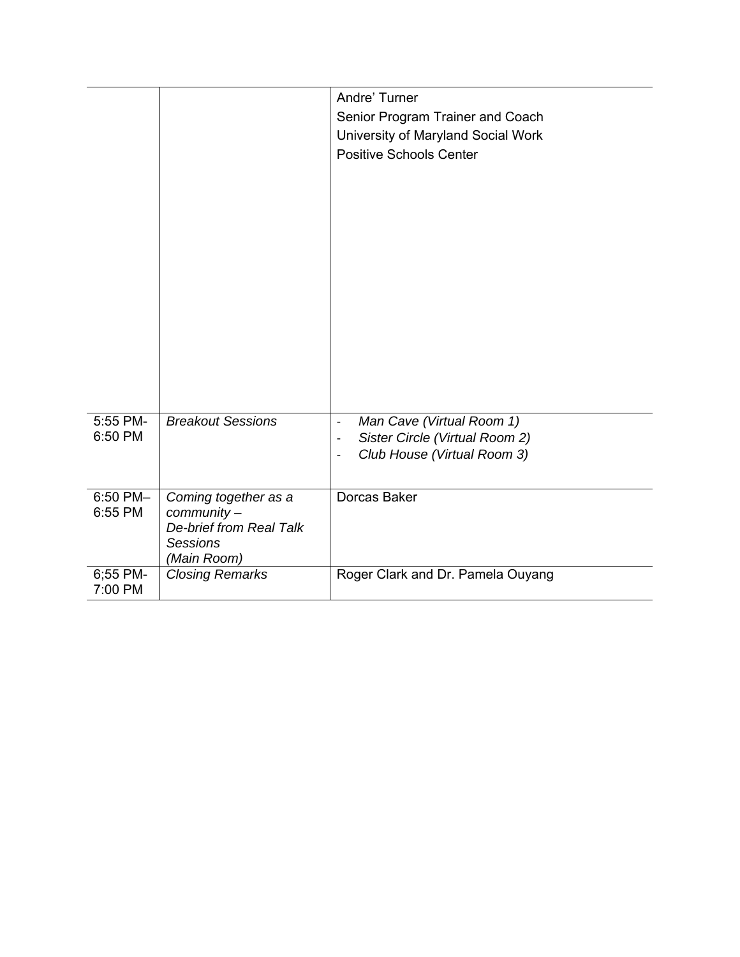|                     |                                                                                                  | Andre' Turner<br>Senior Program Trainer and Coach<br>University of Maryland Social Work<br><b>Positive Schools Center</b>                                                    |
|---------------------|--------------------------------------------------------------------------------------------------|------------------------------------------------------------------------------------------------------------------------------------------------------------------------------|
| 5:55 PM-<br>6:50 PM | <b>Breakout Sessions</b>                                                                         | Man Cave (Virtual Room 1)<br>$\qquad \qquad \blacksquare$<br>Sister Circle (Virtual Room 2)<br>$\qquad \qquad \blacksquare$<br>Club House (Virtual Room 3)<br>$\overline{a}$ |
| 6:50 PM-<br>6:55 PM | Coming together as a<br>community -<br>De-brief from Real Talk<br><b>Sessions</b><br>(Main Room) | Dorcas Baker                                                                                                                                                                 |
| 6;55 PM-<br>7:00 PM | <b>Closing Remarks</b>                                                                           | Roger Clark and Dr. Pamela Ouyang                                                                                                                                            |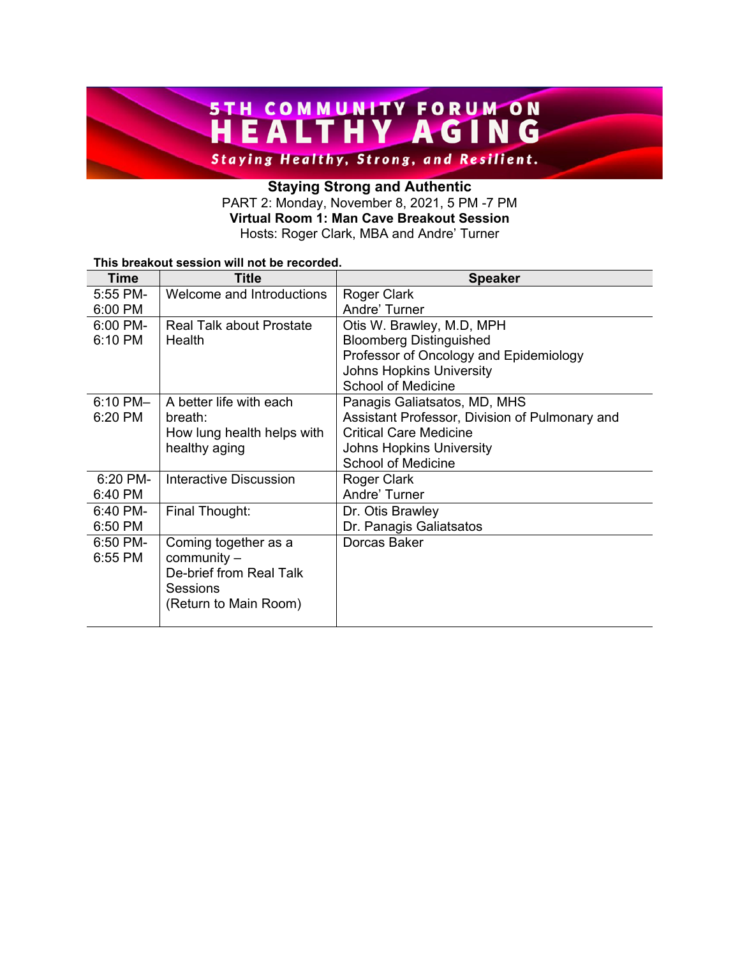# **STH COMMUNITY FORUM ON STH COMMUNITY AGING**

**Staying Healthy, Strong, and Resilient.** 

### **Staying Strong and Authentic**  PART 2: Monday, November 8, 2021, 5 PM -7 PM **Virtual Room 1: Man Cave Breakout Session**

Hosts: Roger Clark, MBA and Andre' Turner

#### **This breakout session will not be recorded.**

| <b>Time</b>       | <b>Title</b>                    | <b>Speaker</b>                                 |
|-------------------|---------------------------------|------------------------------------------------|
| 5:55 PM-          | Welcome and Introductions       | Roger Clark                                    |
| 6:00 PM           |                                 | Andre' Turner                                  |
| $6:00 \text{ PM}$ | <b>Real Talk about Prostate</b> | Otis W. Brawley, M.D, MPH                      |
| 6:10 PM           | Health                          | <b>Bloomberg Distinguished</b>                 |
|                   |                                 | Professor of Oncology and Epidemiology         |
|                   |                                 | <b>Johns Hopkins University</b>                |
|                   |                                 | <b>School of Medicine</b>                      |
| $6:10$ PM $-$     | A better life with each         | Panagis Galiatsatos, MD, MHS                   |
| 6:20 PM           | breath:                         | Assistant Professor, Division of Pulmonary and |
|                   | How lung health helps with      | <b>Critical Care Medicine</b>                  |
|                   | healthy aging                   | <b>Johns Hopkins University</b>                |
|                   |                                 | <b>School of Medicine</b>                      |
| 6:20 PM-          | Interactive Discussion          | Roger Clark                                    |
| 6:40 PM           |                                 | Andre' Turner                                  |
| $6:40$ PM-        | Final Thought:                  | Dr. Otis Brawley                               |
| 6:50 PM           |                                 | Dr. Panagis Galiatsatos                        |
| 6:50 PM-          | Coming together as a            | Dorcas Baker                                   |
| 6:55 PM           | $community -$                   |                                                |
|                   | De-brief from Real Talk         |                                                |
|                   | Sessions                        |                                                |
|                   | (Return to Main Room)           |                                                |
|                   |                                 |                                                |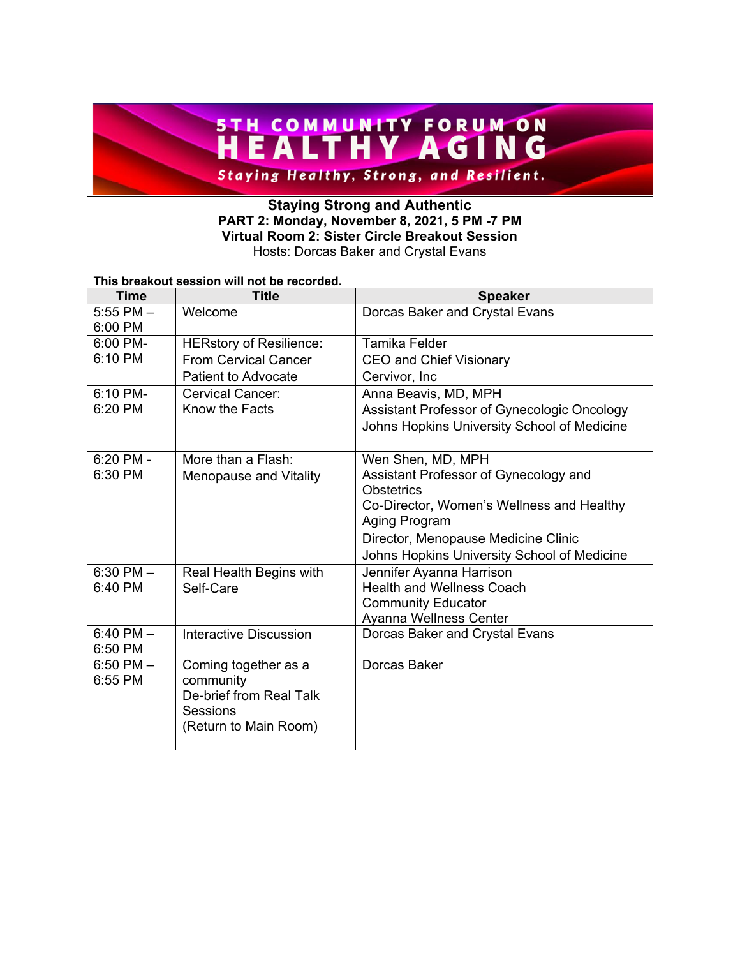## **STH COMMUNITY FORUM ON STH COMMUNITY AGING Staying Healthy, Strong, and Resilient.**

#### **Staying Strong and Authentic PART 2: Monday, November 8, 2021, 5 PM -7 PM Virtual Room 2: Sister Circle Breakout Session**  Hosts: Dorcas Baker and Crystal Evans

#### **This breakout session will not be recorded.**

| <b>Time</b>              | <b>Title</b>                   | <b>Speaker</b>                                           |
|--------------------------|--------------------------------|----------------------------------------------------------|
| $5:55$ PM $-$<br>6:00 PM | Welcome                        | Dorcas Baker and Crystal Evans                           |
| $6:00$ PM-               | <b>HERstory of Resilience:</b> | Tamika Felder                                            |
| 6:10 PM                  | <b>From Cervical Cancer</b>    | <b>CEO and Chief Visionary</b>                           |
|                          | <b>Patient to Advocate</b>     | Cervivor, Inc.                                           |
| 6:10 PM-                 | Cervical Cancer:               | Anna Beavis, MD, MPH                                     |
| 6:20 PM                  | Know the Facts                 | Assistant Professor of Gynecologic Oncology              |
|                          |                                | Johns Hopkins University School of Medicine              |
| 6:20 PM -                | More than a Flash:             | Wen Shen, MD, MPH                                        |
| 6:30 PM                  | Menopause and Vitality         | Assistant Professor of Gynecology and                    |
|                          |                                | <b>Obstetrics</b>                                        |
|                          |                                | Co-Director, Women's Wellness and Healthy                |
|                          |                                | Aging Program                                            |
|                          |                                | Director, Menopause Medicine Clinic                      |
|                          |                                | Johns Hopkins University School of Medicine              |
| $6:30$ PM $-$            | Real Health Begins with        | Jennifer Ayanna Harrison                                 |
| 6:40 PM                  | Self-Care                      | <b>Health and Wellness Coach</b>                         |
|                          |                                | <b>Community Educator</b>                                |
| $6:40$ PM $-$            | Interactive Discussion         | Ayanna Wellness Center<br>Dorcas Baker and Crystal Evans |
| 6:50 PM                  |                                |                                                          |
| $6:50$ PM $-$            | Coming together as a           | Dorcas Baker                                             |
| 6:55 PM                  | community                      |                                                          |
|                          | De-brief from Real Talk        |                                                          |
|                          | Sessions                       |                                                          |
|                          | (Return to Main Room)          |                                                          |
|                          |                                |                                                          |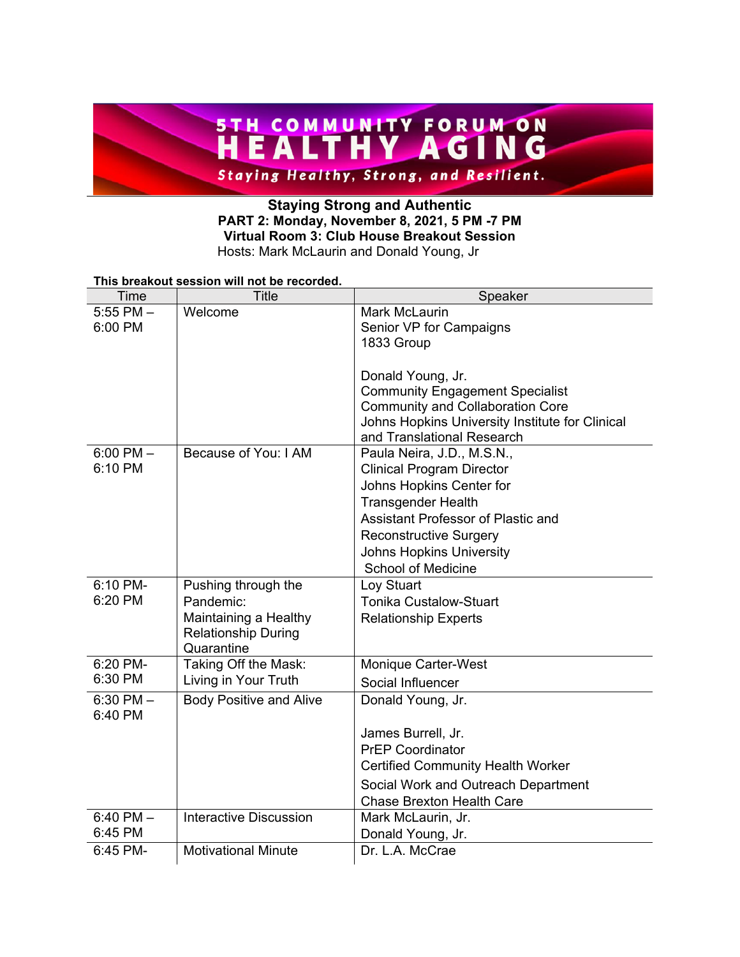# **STH COMMUNITY FORUM ON STH COMMUNITY AGING Staying Healthy, Strong, and Resilient.**

#### **Staying Strong and Authentic PART 2: Monday, November 8, 2021, 5 PM -7 PM Virtual Room 3: Club House Breakout Session**  Hosts: Mark McLaurin and Donald Young, Jr

#### **This breakout session will not be recorded.**

| Time          | <b>Title</b>                                        | Speaker                                         |
|---------------|-----------------------------------------------------|-------------------------------------------------|
| $5:55$ PM $-$ | Welcome                                             | <b>Mark McLaurin</b>                            |
| 6:00 PM       |                                                     | Senior VP for Campaigns                         |
|               |                                                     | 1833 Group                                      |
|               |                                                     | Donald Young, Jr.                               |
|               |                                                     | <b>Community Engagement Specialist</b>          |
|               |                                                     | <b>Community and Collaboration Core</b>         |
|               |                                                     | Johns Hopkins University Institute for Clinical |
|               |                                                     | and Translational Research                      |
| $6:00$ PM $-$ | Because of You: I AM                                | Paula Neira, J.D., M.S.N.,                      |
| 6:10 PM       |                                                     | <b>Clinical Program Director</b>                |
|               |                                                     | Johns Hopkins Center for                        |
|               |                                                     | <b>Transgender Health</b>                       |
|               |                                                     | Assistant Professor of Plastic and              |
|               |                                                     | <b>Reconstructive Surgery</b>                   |
|               |                                                     | <b>Johns Hopkins University</b>                 |
|               |                                                     | <b>School of Medicine</b>                       |
| 6:10 PM-      | Pushing through the                                 | Loy Stuart                                      |
| 6:20 PM       | Pandemic:                                           | <b>Tonika Custalow-Stuart</b>                   |
|               | Maintaining a Healthy<br><b>Relationship During</b> | <b>Relationship Experts</b>                     |
|               | Quarantine                                          |                                                 |
| 6:20 PM-      | Taking Off the Mask:                                | <b>Monique Carter-West</b>                      |
| 6:30 PM       | Living in Your Truth                                | Social Influencer                               |
| $6:30$ PM $-$ | <b>Body Positive and Alive</b>                      | Donald Young, Jr.                               |
| 6:40 PM       |                                                     |                                                 |
|               |                                                     | James Burrell, Jr.                              |
|               |                                                     | <b>PrEP Coordinator</b>                         |
|               |                                                     | <b>Certified Community Health Worker</b>        |
|               |                                                     | Social Work and Outreach Department             |
|               |                                                     | <b>Chase Brexton Health Care</b>                |
| $6:40$ PM $-$ | Interactive Discussion                              | Mark McLaurin, Jr.                              |
| 6:45 PM       |                                                     | Donald Young, Jr.                               |
| 6:45 PM-      | <b>Motivational Minute</b>                          | Dr. L.A. McCrae                                 |